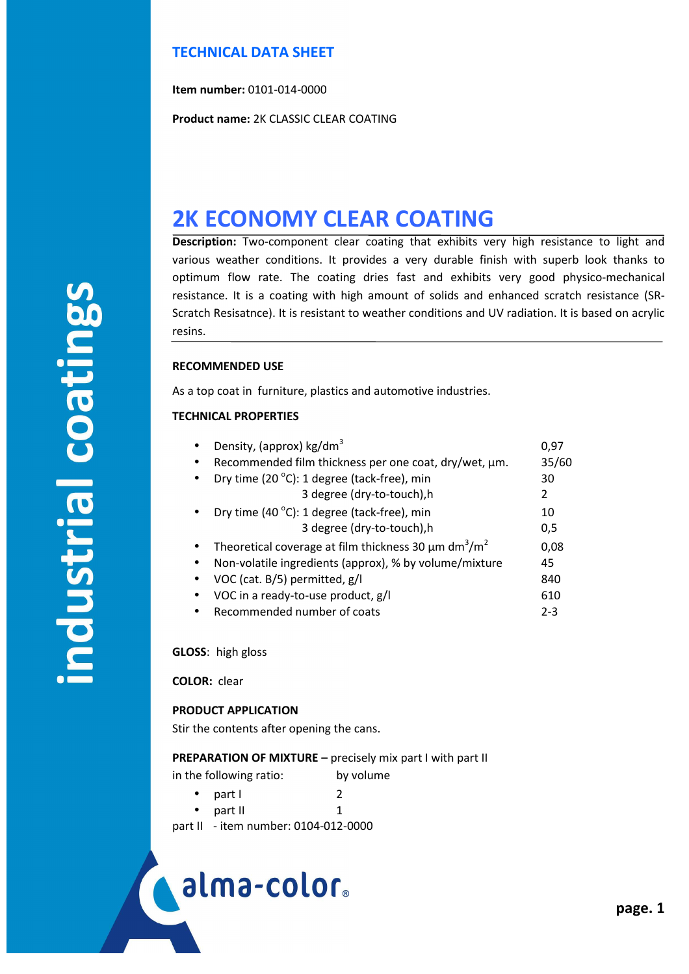## **TECHNICAL DATA SHEET**

**Item number:** 0101-014-0000

**Product name:** 2K CLASSIC CLEAR COATING

# **2K ECONOMY CLEAR COATING**

**Description:** Two-component clear coating that exhibits very high resistance to light and various weather conditions. It provides a very durable finish with superb look thanks to optimum flow rate. The coating dries fast and exhibits very good physico-mechanical resistance. It is a coating with high amount of solids and enhanced scratch resistance (SR-Scratch Resisatnce). It is resistant to weather conditions and UV radiation. It is based on acrylic resins.

### **RECOMMENDED USE**

As a top coat in furniture, plastics and automotive industries.

### **TECHNICAL PROPERTIES**

| Density, (approx) kg/dm <sup>3</sup>                                              | 0,97    |
|-----------------------------------------------------------------------------------|---------|
| Recommended film thickness per one coat, dry/wet, µm.<br>٠                        | 35/60   |
| Dry time (20 °C): 1 degree (tack-free), min<br>$\bullet$                          | 30      |
| 3 degree (dry-to-touch), h                                                        | 2       |
| Dry time (40 °C): 1 degree (tack-free), min                                       | 10      |
| 3 degree (dry-to-touch), h                                                        | 0,5     |
| Theoretical coverage at film thickness 30 $\mu$ m dm <sup>3</sup> /m <sup>2</sup> | 0,08    |
| Non-volatile ingredients (approx), % by volume/mixture<br>$\bullet$               | 45      |
| VOC (cat. B/5) permitted, g/l<br>$\bullet$                                        | 840     |
| VOC in a ready-to-use product, g/l                                                | 610     |
| Recommended number of coats                                                       | $2 - 3$ |

**GLOSS**: high gloss

**COLOR:** clear

í

### **PRODUCT APPLICATION**

Stir the contents after opening the cans.

### **PREPARATION OF MIXTURE –** precisely mix part I with part II

in the following ratio: by volume

- $\bullet$  part I 2
	- part II 1

part II - item number: 0104-012-0000

alma-color.

# ndustrial coatings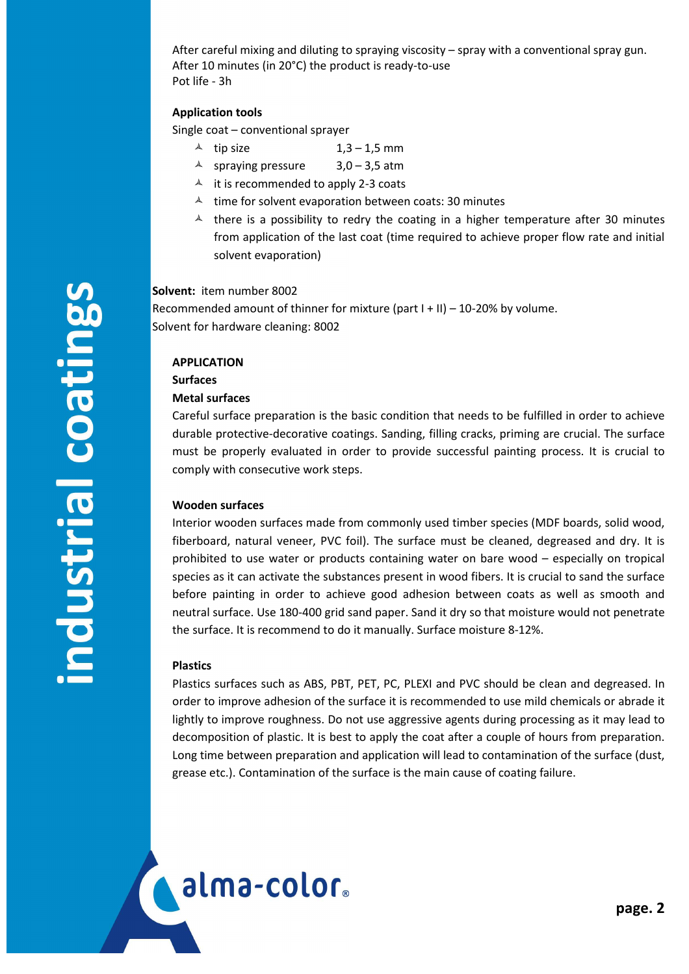After careful mixing and diluting to spraying viscosity – spray with a conventional spray gun. After 10 minutes (in 20°C) the product is ready-to-use Pot life - 3h

### **Application tools**

Single coat – conventional sprayer

- $\uparrow$  tip size 1,3 1,5 mm
- $\triangle$  spraying pressure 3,0 3,5 atm
- $\triangle$  it is recommended to apply 2-3 coats
- $\lambda$  time for solvent evaporation between coats: 30 minutes
- $\uparrow$  there is a possibility to redry the coating in a higher temperature after 30 minutes from application of the last coat (time required to achieve proper flow rate and initial solvent evaporation)

**Solvent:** item number 8002

Recommended amount of thinner for mixture (part I + II) – 10-20% by volume. Solvent for hardware cleaning: 8002

### **APPLICATION**

**Surfaces** 

### **Metal surfaces**

Careful surface preparation is the basic condition that needs to be fulfilled in order to achieve durable protective-decorative coatings. Sanding, filling cracks, priming are crucial. The surface must be properly evaluated in order to provide successful painting process. It is crucial to comply with consecutive work steps.

### **Wooden surfaces**

Interior wooden surfaces made from commonly used timber species (MDF boards, solid wood, fiberboard, natural veneer, PVC foil). The surface must be cleaned, degreased and dry. It is prohibited to use water or products containing water on bare wood – especially on tropical species as it can activate the substances present in wood fibers. It is crucial to sand the surface before painting in order to achieve good adhesion between coats as well as smooth and neutral surface. Use 180-400 grid sand paper. Sand it dry so that moisture would not penetrate the surface. It is recommend to do it manually. Surface moisture 8-12%.

### **Plastics**

í

alma-color.

Plastics surfaces such as ABS, PBT, PET, PC, PLEXI and PVC should be clean and degreased. In order to improve adhesion of the surface it is recommended to use mild chemicals or abrade it lightly to improve roughness. Do not use aggressive agents during processing as it may lead to decomposition of plastic. It is best to apply the coat after a couple of hours from preparation. Long time between preparation and application will lead to contamination of the surface (dust, grease etc.). Contamination of the surface is the main cause of coating failure.